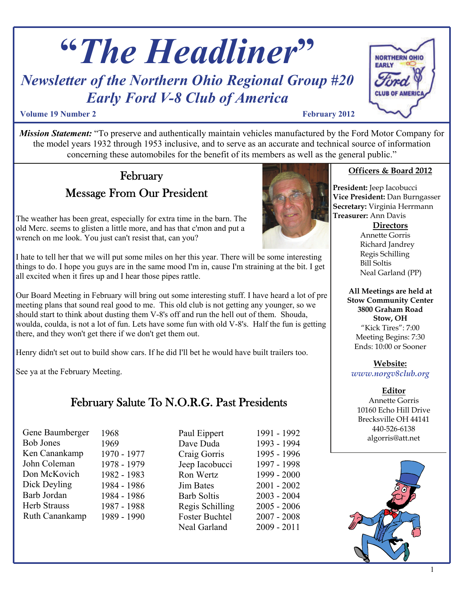# **"***The Headliner***"**

## *Newsletter of the Northern Ohio Regional Group #20 Early Ford V-8 Club of America*

#### **Volume 19 Number 2** February 2012

*Mission Statement:* "To preserve and authentically maintain vehicles manufactured by the Ford Motor Company for the model years 1932 through 1953 inclusive, and to serve as an accurate and technical source of information concerning these automobiles for the benefit of its members as well as the general public."

## Message From Our President February

The weather has been great, especially for extra time in the barn. The old Merc. seems to glisten a little more, and has that c'mon and put a wrench on me look. You just can't resist that, can you?

I hate to tell her that we will put some miles on her this year. There will be some interesting things to do. I hope you guys are in the same mood I'm in, cause I'm straining at the bit. I get all excited when it fires up and I hear those pipes rattle.

Our Board Meeting in February will bring out some interesting stuff. I have heard a lot of pre meeting plans that sound real good to me. This old club is not getting any younger, so we should start to think about dusting them V-8's off and run the hell out of them. Shouda, woulda, coulda, is not a lot of fun. Lets have some fun with old V-8's. Half the fun is getting there, and they won't get there if we don't get them out.

Henry didn't set out to build show cars. If he did I'll bet he would have built trailers too.

See ya at the February Meeting.

## February Salute To N.O.R.G. Past Presidents

Gene Baumberger Bob Jones Ken Canankamp John Coleman Don McKovich Dick Deyling Barb Jordan Herb Strauss Ruth Canankamp 1968 1969 1970 - 1977 1978 - 1979 1982 - 1983 1984 - 1986 1984 - 1986 1987 - 1988 1989 - 1990 Paul Eippert Dave Duda Craig Gorris Jeep Iacobucci Ron Wertz Jim Bates Barb Soltis Regis Schilling Foster Buchtel Neal Garland







**NORTHERN OHIO** 

EARLY

**President:** Jeep Iacobucci **Vice President:** Dan Burngasser **Secretary:** Virginia Herrmann **Treasurer:** Ann Davis

**Directors**

Annette Gorris Richard Jandrey Regis Schilling Bill Soltis Neal Garland (PP)

**All Meetings are held at Stow Community Center 3800 Graham Road Stow, OH**  "Kick Tires": 7:00 Meeting Begins: 7:30 Ends: 10:00 or Sooner

**Website:** *www.norgv8club.org* 

#### **Editor**

Annette Gorris 10160 Echo Hill Drive Brecksville OH 44141 440-526-6138 algorris@att.net

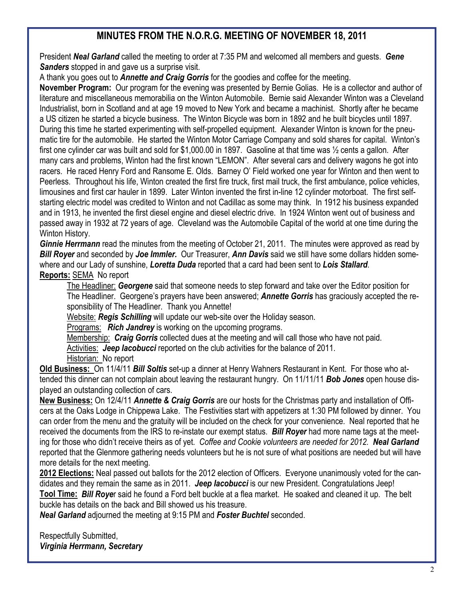### **MINUTES FROM THE N.O.R.G. MEETING OF NOVEMBER 18, 2011**

President *Neal Garland* called the meeting to order at 7:35 PM and welcomed all members and guests. *Gene Sanders* stopped in and gave us a surprise visit.

A thank you goes out to *Annette and Craig Gorris* for the goodies and coffee for the meeting.

**November Program:** Our program for the evening was presented by Bernie Golias. He is a collector and author of literature and miscellaneous memorabilia on the Winton Automobile. Bernie said Alexander Winton was a Cleveland Industrialist, born in Scotland and at age 19 moved to New York and became a machinist. Shortly after he became a US citizen he started a bicycle business. The Winton Bicycle was born in 1892 and he built bicycles until 1897. During this time he started experimenting with self-propelled equipment. Alexander Winton is known for the pneumatic tire for the automobile. He started the Winton Motor Carriage Company and sold shares for capital. Winton's first one cylinder car was built and sold for \$1,000.00 in 1897. Gasoline at that time was ½ cents a gallon. After many cars and problems, Winton had the first known "LEMON". After several cars and delivery wagons he got into racers. He raced Henry Ford and Ransome E. Olds. Barney O' Field worked one year for Winton and then went to Peerless. Throughout his life, Winton created the first fire truck, first mail truck, the first ambulance, police vehicles, limousines and first car hauler in 1899. Later Winton invented the first in-line 12 cylinder motorboat. The first selfstarting electric model was credited to Winton and not Cadillac as some may think. In 1912 his business expanded and in 1913, he invented the first diesel engine and diesel electric drive. In 1924 Winton went out of business and passed away in 1932 at 72 years of age. Cleveland was the Automobile Capital of the world at one time during the Winton History.

*Ginnie Herrmann* read the minutes from the meeting of October 21, 2011. The minutes were approved as read by *Bill Royer* and seconded by *Joe Immler.* Our Treasurer, *Ann Davis* said we still have some dollars hidden somewhere and our Lady of sunshine, *Loretta Duda* reported that a card had been sent to *Lois Stallard*. **Reports:** SEMA No report

The Headliner: *Georgene* said that someone needs to step forward and take over the Editor position for The Headliner. Georgene's prayers have been answered; *Annette Gorris* has graciously accepted the responsibility of The Headliner. Thank you Annette!

Website: *Regis Schilling* will update our web-site over the Holiday season.

Programs: *Rich Jandrey* is working on the upcoming programs.

Membership: *Craig Gorris* collected dues at the meeting and will call those who have not paid.

Activities: *Jeep Iacobucci* reported on the club activities for the balance of 2011.

Historian: No report

**Old Business:** On 11/4/11 *Bill Soltis* set-up a dinner at Henry Wahners Restaurant in Kent. For those who attended this dinner can not complain about leaving the restaurant hungry. On 11/11/11 *Bob Jones* open house displayed an outstanding collection of cars.

**New Business:** On 12/4/11 *Annette & Craig Gorris* are our hosts for the Christmas party and installation of Officers at the Oaks Lodge in Chippewa Lake. The Festivities start with appetizers at 1:30 PM followed by dinner. You can order from the menu and the gratuity will be included on the check for your convenience. Neal reported that he received the documents from the IRS to re-instate our exempt status. *Bill Royer* had more name tags at the meeting for those who didn't receive theirs as of yet. *Coffee and Cookie volunteers are needed for 2012. Neal Garland*  reported that the Glenmore gathering needs volunteers but he is not sure of what positions are needed but will have more details for the next meeting.

**2012 Elections:** Neal passed out ballots for the 2012 election of Officers. Everyone unanimously voted for the candidates and they remain the same as in 2011. *Jeep Iacobucci* is our new President. Congratulations Jeep! **Tool Time:** *Bill Roye*r said he found a Ford belt buckle at a flea market. He soaked and cleaned it up. The belt

buckle has details on the back and Bill showed us his treasure.

*Neal Garland* adjourned the meeting at 9:15 PM and *Foster Buchtel* seconded.

Respectfully Submitted, *Virginia Herrmann, Secretary*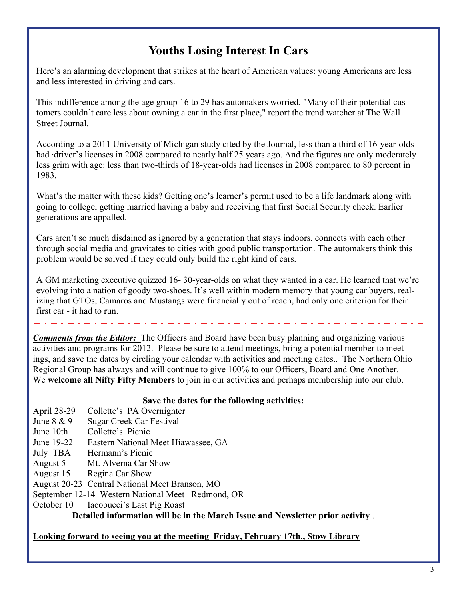## **Youths Losing Interest In Cars**

Here's an alarming development that strikes at the heart of American values: young Americans are less and less interested in driving and cars.

This indifference among the age group 16 to 29 has automakers worried. "Many of their potential customers couldn't care less about owning a car in the first place," report the trend watcher at The Wall Street Journal.

According to a 2011 University of Michigan study cited by the Journal, less than a third of 16-year-olds had ·driver's licenses in 2008 compared to nearly half 25 years ago. And the figures are only moderately less grim with age: less than two-thirds of 18-year-olds had licenses in 2008 compared to 80 percent in 1983.

What's the matter with these kids? Getting one's learner's permit used to be a life landmark along with going to college, getting married having a baby and receiving that first Social Security check. Earlier generations are appalled.

Cars aren't so much disdained as ignored by a generation that stays indoors, connects with each other through social media and gravitates to cities with good public transportation. The automakers think this problem would be solved if they could only build the right kind of cars.

A GM marketing executive quizzed 16- 30-year-olds on what they wanted in a car. He learned that we're evolving into a nation of goody two-shoes. It's well within modern memory that young car buyers, realizing that GTOs, Camaros and Mustangs were financially out of reach, had only one criterion for their first car - it had to run.

*Comments from the Editor*: The Officers and Board have been busy planning and organizing various activities and programs for 2012. Please be sure to attend meetings, bring a potential member to meetings, and save the dates by circling your calendar with activities and meeting dates.. The Northern Ohio Regional Group has always and will continue to give 100% to our Officers, Board and One Another. We **welcome all Nifty Fifty Members** to join in our activities and perhaps membership into our club.

#### **Save the dates for the following activities:**

- April 28-29 Collette's PA Overnighter
- June 8 & 9 Sugar Creek Car Festival
- June 10th Collette's Picnic
- June 19-22 Eastern National Meet Hiawassee, GA
- July TBA Hermann's Picnic
- August 5 Mt. Alverna Car Show
- August 15 Regina Car Show
- August 20-23 Central National Meet Branson, MO
- September 12-14 Western National Meet Redmond, OR<br>October 10 Iacobucci's Last Pig Roast
- Iacobucci's Last Pig Roast

**Detailed information will be in the March Issue and Newsletter prior activity** .

#### **Looking forward to seeing you at the meeting Friday, February 17th., Stow Library**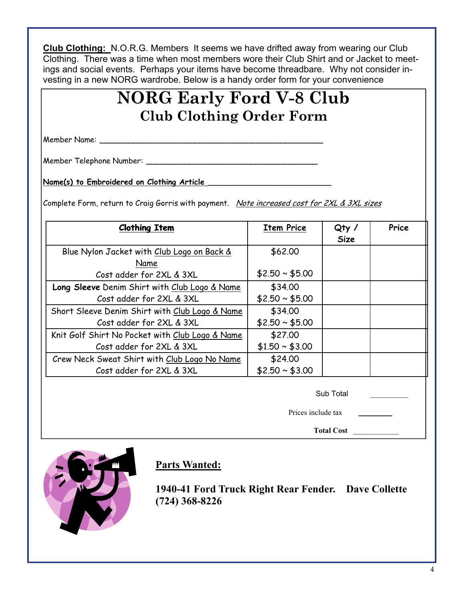**Club Clothing:** N.O.R.G. Members It seems we have drifted away from wearing our Club Clothing. There was a time when most members wore their Club Shirt and or Jacket to meetings and social events. Perhaps your items have become threadbare. Why not consider investing in a new NORG wardrobe. Below is a handy order form for your convenience

## **NORG Early Ford V-8 Club Club Clothing Order Form**

Member Name: **\_\_\_\_\_\_\_\_\_\_\_\_\_\_\_\_\_\_\_\_\_\_\_\_\_\_\_\_\_\_\_\_\_\_\_\_\_\_\_\_\_\_\_\_\_\_\_** 

Member Telephone Number: **\_\_\_\_\_\_\_\_\_\_\_\_\_\_\_\_\_\_\_\_\_\_\_\_\_\_\_\_\_\_\_\_\_\_\_\_** 

Name(s) to Embroidered on Clothing Article

Complete Form, return to Craig Gorris with payment. Note increased cost for 2XL & 3XL sizes

| <b>Clothing Item</b>                            | <b>Item Price</b>  | Qty/<br><b>Size</b> | Price |
|-------------------------------------------------|--------------------|---------------------|-------|
| Blue Nylon Jacket with Club Logo on Back &      | \$62.00            |                     |       |
| Name                                            |                    |                     |       |
| Cost adder for 2XL & 3XL                        | $$2.50 \sim $5.00$ |                     |       |
| Long Sleeve Denim Shirt with Club Logo & Name   | \$34.00            |                     |       |
| Cost adder for 2XL & 3XL                        | $$2.50 \sim $5.00$ |                     |       |
| Short Sleeve Denim Shirt with Club Logo & Name  | \$34.00            |                     |       |
| Cost adder for 2XL & 3XL                        | $$2.50 \sim $5.00$ |                     |       |
| Knit Golf Shirt No Pocket with Club Logo & Name | \$27.00            |                     |       |
| Cost adder for 2XL & 3XL                        | $$1.50 \sim $3.00$ |                     |       |
| Crew Neck Sweat Shirt with Club Logo No Name    | \$24.00            |                     |       |
| Cost adder for 2XL & 3XL                        | $$2.50 \sim $3.00$ |                     |       |

Sub Total \_\_\_\_\_\_\_\_\_\_

Prices include tax **\_\_\_\_\_\_\_** 

**Total Cost** \_\_\_\_\_\_\_\_\_\_\_\_



#### **Parts Wanted:**

**1940-41 Ford Truck Right Rear Fender. Dave Collette (724) 368-8226**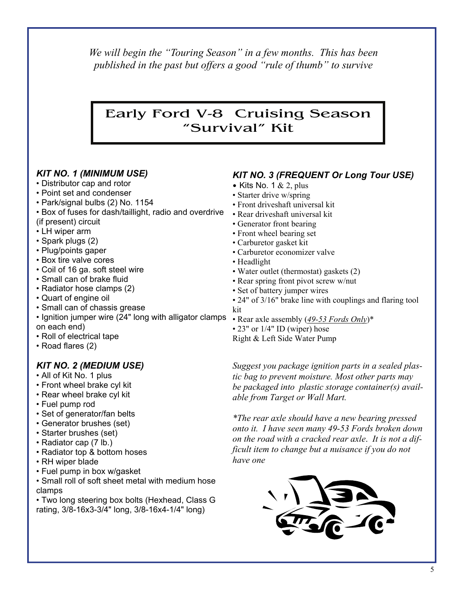*We will begin the "Touring Season" in a few months. This has been published in the past but offers a good "rule of thumb" to survive* 

## Early Ford V-8 Cruising Season "Survival" Kit

#### *KIT NO. 1 (MINIMUM USE)*

- Distributor cap and rotor
- Point set and condenser
- Park/signal bulbs (2) No. 1154
- Box of fuses for dash/taillight, radio and overdrive
- (if present) circuit
- LH wiper arm
- Spark plugs (2)
- Plug/points gaper
- Box tire valve cores
- Coil of 16 ga. soft steel wire
- Small can of brake fluid
- Radiator hose clamps (2)
- Quart of engine oil
- Small can of chassis grease
- Ignition jumper wire (24" long with alligator clamps Rear axle assembly (49-53 Fords Only)\* on each end)
- Roll of electrical tape
- Road flares (2)

#### *KIT NO. 2 (MEDIUM USE)*

- All of Kit No. 1 plus
- Front wheel brake cyl kit
- Rear wheel brake cyl kit
- Fuel pump rod
- Set of generator/fan belts
- Generator brushes (set)
- Starter brushes (set)
- Radiator cap (7 lb.)
- Radiator top & bottom hoses
- RH wiper blade
- Fuel pump in box w/gasket
- Small roll of soft sheet metal with medium hose clamps

• Two long steering box bolts (Hexhead, Class G rating, 3/8-16x3-3/4" long, 3/8-16x4-1/4" long)

#### *KIT NO. 3 (FREQUENT Or Long Tour USE)*

- Kits No. 1  $& 2$ , plus
- Starter drive w/spring
- Front driveshaft universal kit
- Rear driveshaft universal kit
- Generator front bearing
- Front wheel bearing set
- Carburetor gasket kit
- Carburetor economizer valve
- Headlight
- Water outlet (thermostat) gaskets (2)
- Rear spring front pivot screw w/nut
- Set of battery jumper wires
- 24" of 3/16" brake line with couplings and flaring tool kit
- 
- 23" or 1/4" ID (wiper) hose
- Right & Left Side Water Pump

*Suggest you package ignition parts in a sealed plastic bag to prevent moisture. Most other parts may be packaged into plastic storage container(s) available from Target or Wall Mart.* 

*\*The rear axle should have a new bearing pressed onto it. I have seen many 49-53 Fords broken down on the road with a cracked rear axle*. *It is not a difficult item to change but a nuisance if you do not have one*